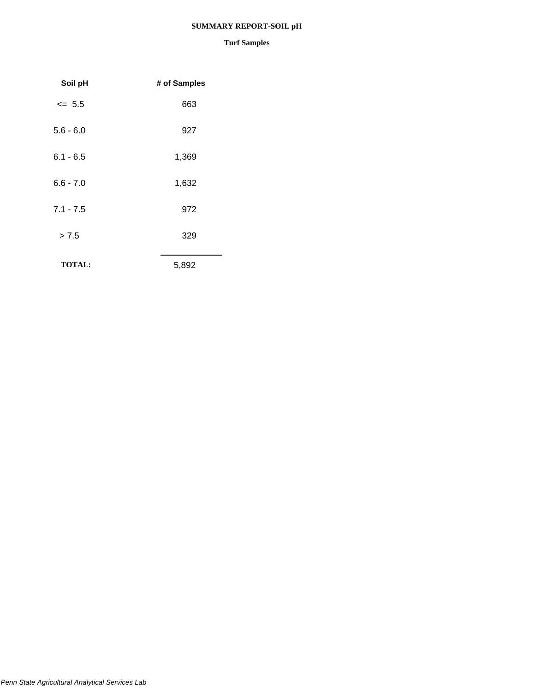## **SUMMARY REPORT-SOIL pH**

| Soil pH       | # of Samples |
|---------------|--------------|
| $\le$ 5.5     | 663          |
| $5.6 - 6.0$   | 927          |
| $6.1 - 6.5$   | 1,369        |
| $6.6 - 7.0$   | 1,632        |
| $7.1 - 7.5$   | 972          |
| > 7.5         | 329          |
| <b>TOTAL:</b> | 5,892        |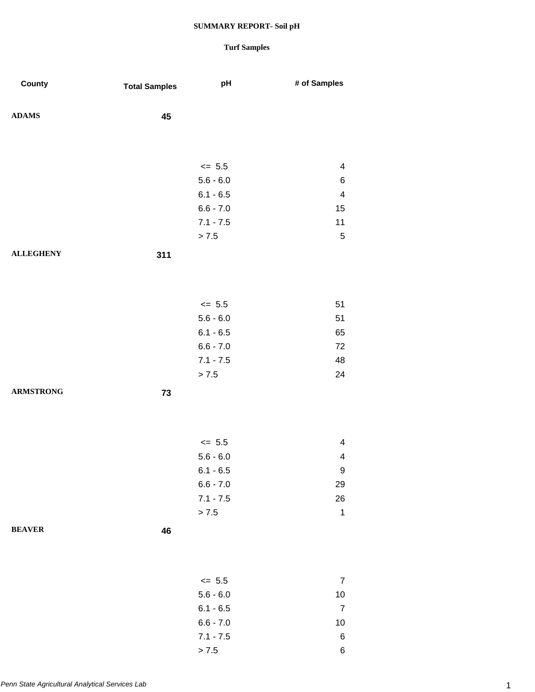| County           | <b>Total Samples</b> | pH                       | # of Samples            |
|------------------|----------------------|--------------------------|-------------------------|
| <b>ADAMS</b>     | 45                   |                          |                         |
|                  |                      |                          |                         |
|                  |                      | $\leq$ 5.5               | 4                       |
|                  |                      | $5.6 - 6.0$              | 6                       |
|                  |                      | $6.1 - 6.5$              | $\overline{\mathbf{4}}$ |
|                  |                      | $6.6 - 7.0$              | 15                      |
|                  |                      | $7.1 - 7.5$              | 11                      |
|                  |                      | $> 7.5$                  | $\mathbf 5$             |
| <b>ALLEGHENY</b> | 311                  |                          |                         |
|                  |                      |                          |                         |
|                  |                      |                          |                         |
|                  |                      | $\le$ 5.5<br>$5.6 - 6.0$ | 51<br>51                |
|                  |                      | $6.1 - 6.5$              | 65                      |
|                  |                      | $6.6 - 7.0$              | 72                      |
|                  |                      | $7.1 - 7.5$              | 48                      |
|                  |                      | $> 7.5$                  | 24                      |
| <b>ARMSTRONG</b> | 73                   |                          |                         |
|                  |                      |                          |                         |
|                  |                      |                          |                         |
|                  |                      | $\leq$ 5.5               | $\overline{\mathbf{4}}$ |
|                  |                      | $5.6 - 6.0$              | $\overline{\mathbf{4}}$ |
|                  |                      | $6.1 - 6.5$              | 9                       |
|                  |                      | $6.6 - 7.0$              | 29                      |
|                  |                      | $7.1 - 7.5$              | 26                      |
|                  |                      | $> 7.5$                  | $\mathbf 1$             |
| <b>BEAVER</b>    | 46                   |                          |                         |
|                  |                      |                          |                         |
|                  |                      | $\leq$ 5.5               | $\overline{7}$          |
|                  |                      | $5.6 - 6.0$              | $10$                    |
|                  |                      | $6.1 - 6.5$              | $\overline{7}$          |
|                  |                      | $6.6 - 7.0$              | 10                      |
|                  |                      | $7.1 - 7.5$              | 6                       |
|                  |                      | $> 7.5$                  | $\,6$                   |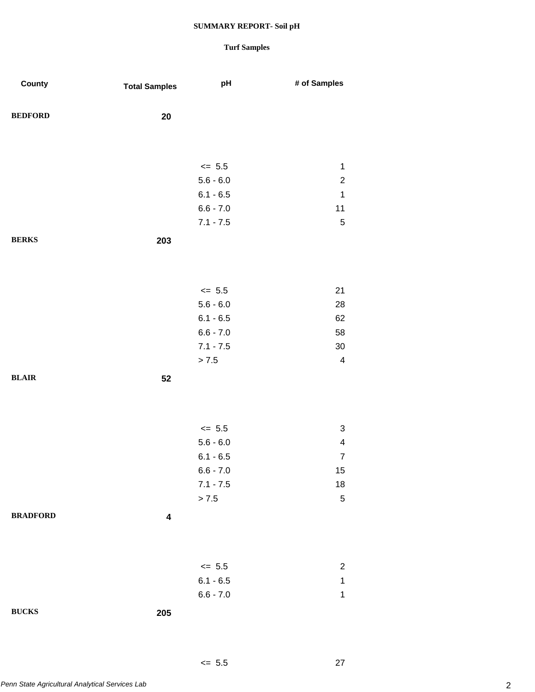## **Turf Samples**

 $\leq 5.5$  27

| County          | <b>Total Samples</b>    | pH          | # of Samples            |
|-----------------|-------------------------|-------------|-------------------------|
| <b>BEDFORD</b>  | $20\,$                  |             |                         |
|                 |                         |             |                         |
|                 |                         | $\leq$ 5.5  | $\mathbf{1}$            |
|                 |                         | $5.6 - 6.0$ | $\overline{c}$          |
|                 |                         | $6.1 - 6.5$ | $\mathbf{1}$            |
|                 |                         | $6.6 - 7.0$ | 11                      |
|                 |                         | $7.1 - 7.5$ | $\mathbf 5$             |
| <b>BERKS</b>    | 203                     |             |                         |
|                 |                         |             |                         |
|                 |                         |             |                         |
|                 |                         | $\le$ 5.5   | 21                      |
|                 |                         | $5.6 - 6.0$ | 28                      |
|                 |                         | $6.1 - 6.5$ | 62                      |
|                 |                         | $6.6 - 7.0$ | 58                      |
|                 |                         | $7.1 - 7.5$ | $30\,$                  |
|                 |                         | > 7.5       | $\overline{\mathbf{4}}$ |
| <b>BLAIR</b>    | 52                      |             |                         |
|                 |                         |             |                         |
|                 |                         |             |                         |
|                 |                         | $\leq$ 5.5  | $\sqrt{3}$              |
|                 |                         | $5.6 - 6.0$ | $\overline{\mathbf{4}}$ |
|                 |                         | $6.1 - 6.5$ | $\boldsymbol{7}$        |
|                 |                         | $6.6 - 7.0$ | 15                      |
|                 |                         | $7.1 - 7.5$ | $18\,$                  |
|                 |                         | > 7.5       | $\sqrt{5}$              |
| <b>BRADFORD</b> | $\overline{\mathbf{4}}$ |             |                         |
|                 |                         |             |                         |
|                 |                         |             |                         |
|                 |                         |             |                         |
|                 |                         | $\leq$ 5.5  | $\overline{2}$          |
|                 |                         | $6.1 - 6.5$ | $\mathbf{1}$            |
|                 |                         | $6.6 - 7.0$ | $\mathbf 1$             |
| <b>BUCKS</b>    | 205                     |             |                         |
|                 |                         |             |                         |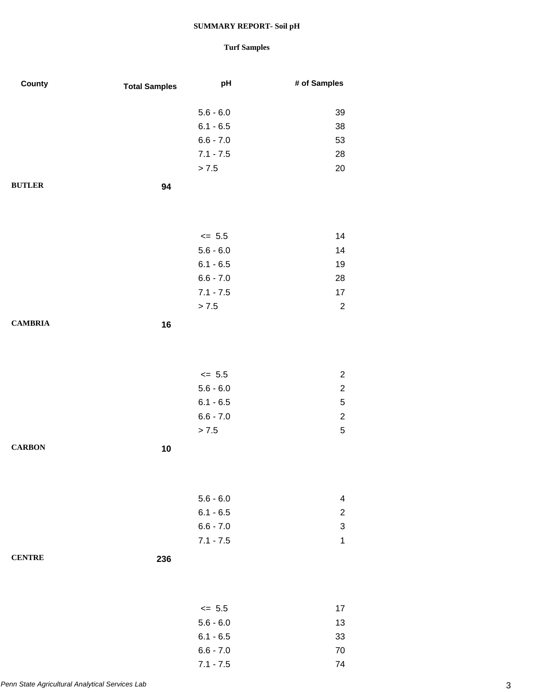| County         | <b>Total Samples</b> | pH                        | # of Samples                     |
|----------------|----------------------|---------------------------|----------------------------------|
|                |                      |                           |                                  |
|                |                      | $5.6 - 6.0$               | 39                               |
|                |                      | $6.1 - 6.5$               | 38                               |
|                |                      | $6.6 - 7.0$               | 53                               |
|                |                      | $7.1 - 7.5$               | 28                               |
|                |                      | > 7.5                     | 20                               |
| <b>BUTLER</b>  | 94                   |                           |                                  |
|                |                      |                           |                                  |
|                |                      |                           |                                  |
|                |                      | $\le$ 5.5                 | 14                               |
|                |                      | $5.6 - 6.0$               | 14                               |
|                |                      | $6.1 - 6.5$               | 19                               |
|                |                      | $6.6 - 7.0$               | 28                               |
|                |                      | $7.1 - 7.5$               | 17                               |
|                |                      | > 7.5                     | $\overline{c}$                   |
| <b>CAMBRIA</b> | 16                   |                           |                                  |
|                |                      |                           |                                  |
|                |                      |                           |                                  |
|                |                      |                           |                                  |
|                |                      | $\leq$ 5.5<br>$5.6 - 6.0$ | $\overline{c}$<br>$\overline{c}$ |
|                |                      | $6.1 - 6.5$               | $\mathbf 5$                      |
|                |                      | $6.6 - 7.0$               | $\overline{\mathbf{c}}$          |
|                |                      | > 7.5                     | 5                                |
|                |                      |                           |                                  |
| <b>CARBON</b>  | 10                   |                           |                                  |
|                |                      |                           |                                  |
|                |                      |                           |                                  |
|                |                      | $5.6 - 6.0$               | 4                                |
|                |                      | $6.1 - 6.5$               | $\overline{c}$                   |
|                |                      | $6.6 - 7.0$               | 3                                |
|                |                      | $7.1 - 7.5$               | $\mathbf{1}$                     |
| <b>CENTRE</b>  | 236                  |                           |                                  |
|                |                      |                           |                                  |
|                |                      |                           |                                  |
|                |                      | $\leq$ 5.5                | 17                               |
|                |                      | $5.6 - 6.0$               | 13                               |
|                |                      | $6.1 - 6.5$               | 33                               |
|                |                      | $6.6 - 7.0$               | 70                               |
|                |                      | $7.1 - 7.5$               | 74                               |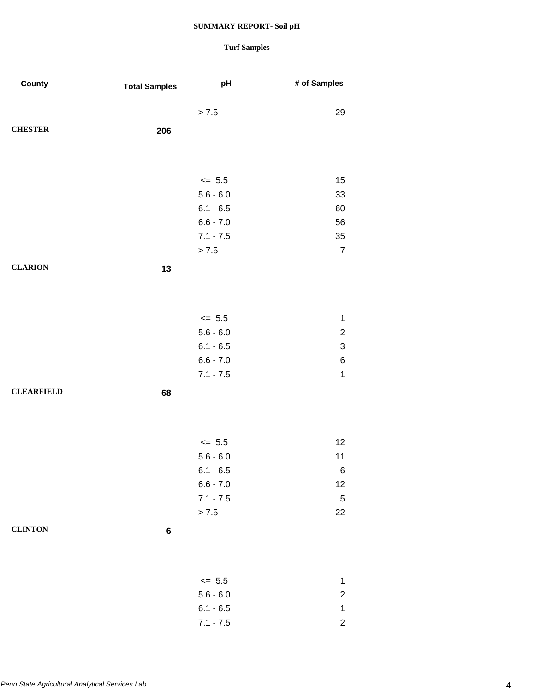| County            | <b>Total Samples</b> | pH          | # of Samples              |
|-------------------|----------------------|-------------|---------------------------|
|                   |                      | > 7.5       | 29                        |
| <b>CHESTER</b>    | 206                  |             |                           |
|                   |                      |             |                           |
|                   |                      | $\le$ 5.5   | 15                        |
|                   |                      | $5.6 - 6.0$ | 33                        |
|                   |                      | $6.1 - 6.5$ | 60                        |
|                   |                      | $6.6 - 7.0$ | 56                        |
|                   |                      | $7.1 - 7.5$ | 35                        |
|                   |                      | > 7.5       | $\overline{7}$            |
| <b>CLARION</b>    | 13                   |             |                           |
|                   |                      |             |                           |
|                   |                      |             |                           |
|                   |                      | $\leq$ 5.5  | $\mathbf{1}$              |
|                   |                      | $5.6 - 6.0$ | $\boldsymbol{2}$          |
|                   |                      | $6.1 - 6.5$ | $\ensuremath{\mathsf{3}}$ |
|                   |                      | $6.6 - 7.0$ | $\,6$                     |
|                   |                      | $7.1 - 7.5$ | $\mathbf 1$               |
| <b>CLEARFIELD</b> | 68                   |             |                           |
|                   |                      |             |                           |
|                   |                      | $\le$ 5.5   | 12                        |
|                   |                      | $5.6 - 6.0$ | 11                        |
|                   |                      | $6.1 - 6.5$ | 6                         |
|                   |                      | $6.6 - 7.0$ | 12                        |
|                   |                      | $7.1 - 7.5$ | $\sqrt{5}$                |
|                   |                      | > 7.5       | 22                        |
| <b>CLINTON</b>    | $\bf 6$              |             |                           |
|                   |                      |             |                           |
|                   |                      | $\leq$ 5.5  | $\mathbf{1}$              |
|                   |                      | $5.6 - 6.0$ | $\overline{c}$            |
|                   |                      | $6.1 - 6.5$ | $\mathbf{1}$              |
|                   |                      | $7.1 - 7.5$ | $\overline{c}$            |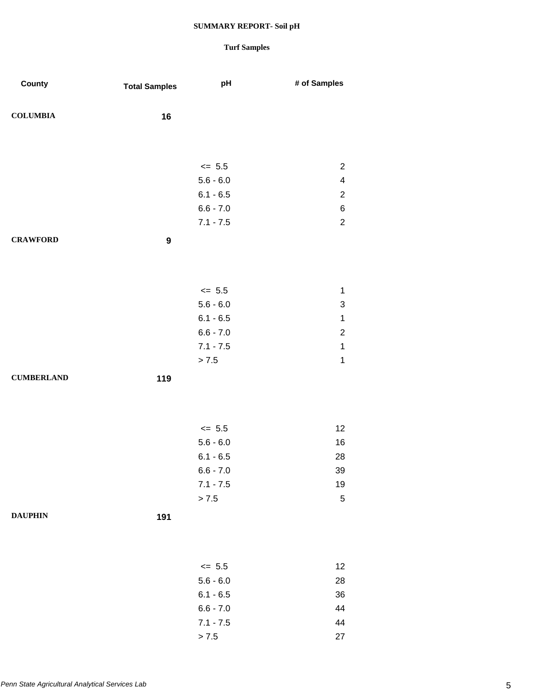| County            | <b>Total Samples</b> | pH          | # of Samples            |
|-------------------|----------------------|-------------|-------------------------|
| <b>COLUMBIA</b>   | 16                   |             |                         |
|                   |                      |             |                         |
|                   |                      | $\le$ 5.5   | $\overline{c}$          |
|                   |                      | $5.6 - 6.0$ | $\overline{\mathbf{4}}$ |
|                   |                      | $6.1 - 6.5$ | $\boldsymbol{2}$        |
|                   |                      | $6.6 - 7.0$ | $\,6$                   |
|                   |                      | $7.1 - 7.5$ | $\sqrt{2}$              |
| <b>CRAWFORD</b>   | $\boldsymbol{9}$     |             |                         |
|                   |                      |             |                         |
|                   |                      | $\le$ 5.5   | 1                       |
|                   |                      | $5.6 - 6.0$ | 3                       |
|                   |                      | $6.1 - 6.5$ | $\mathbf 1$             |
|                   |                      | $6.6 - 7.0$ | $\boldsymbol{2}$        |
|                   |                      | $7.1 - 7.5$ | $\mathbf 1$             |
|                   |                      | > 7.5       | $\mathbf 1$             |
| <b>CUMBERLAND</b> | 119                  |             |                         |
|                   |                      |             |                         |
|                   |                      | $\le$ 5.5   | 12                      |
|                   |                      | $5.6 - 6.0$ | 16                      |
|                   |                      | $6.1 - 6.5$ | 28                      |
|                   |                      | $6.6 - 7.0$ | 39                      |
|                   |                      | $7.1 - 7.5$ | 19                      |
|                   |                      | > 7.5       | $\sqrt{5}$              |
| <b>DAUPHIN</b>    | 191                  |             |                         |
|                   |                      |             |                         |
|                   |                      | $\leq$ 5.5  | 12                      |
|                   |                      | $5.6 - 6.0$ | 28                      |
|                   |                      | $6.1 - 6.5$ | 36                      |
|                   |                      | $6.6 - 7.0$ | 44                      |
|                   |                      | $7.1 - 7.5$ | 44                      |
|                   |                      | > 7.5       | 27                      |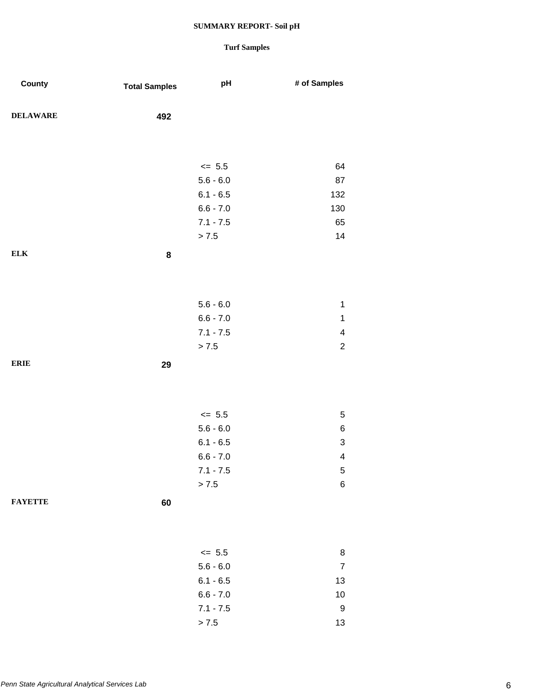| County          | <b>Total Samples</b> | pH          | # of Samples              |
|-----------------|----------------------|-------------|---------------------------|
| <b>DELAWARE</b> | 492                  |             |                           |
|                 |                      |             |                           |
|                 |                      | $\le$ 5.5   | 64                        |
|                 |                      | $5.6 - 6.0$ | 87                        |
|                 |                      | $6.1 - 6.5$ | 132                       |
|                 |                      | $6.6 - 7.0$ | 130                       |
|                 |                      | $7.1 - 7.5$ | 65                        |
|                 |                      | > 7.5       | 14                        |
| <b>ELK</b>      | ${\bf 8}$            |             |                           |
|                 |                      |             |                           |
|                 |                      |             |                           |
|                 |                      | $5.6 - 6.0$ | $\mathbf 1$               |
|                 |                      | $6.6 - 7.0$ | $\mathbf 1$               |
|                 |                      | $7.1 - 7.5$ | $\overline{\mathbf{4}}$   |
|                 |                      | > 7.5       | $\overline{c}$            |
| <b>ERIE</b>     | 29                   |             |                           |
|                 |                      |             |                           |
|                 |                      |             |                           |
|                 |                      | $\leq$ 5.5  | 5                         |
|                 |                      | $5.6 - 6.0$ | 6                         |
|                 |                      | $6.1 - 6.5$ | $\ensuremath{\mathsf{3}}$ |
|                 |                      | $6.6 - 7.0$ | 4                         |
|                 |                      | $7.1 - 7.5$ | 5                         |
|                 |                      | > 7.5       | $\,6$                     |
| <b>FAYETTE</b>  |                      |             |                           |
|                 | 60                   |             |                           |
|                 |                      |             |                           |
|                 |                      |             |                           |
|                 |                      | $\le$ 5.5   | 8                         |
|                 |                      | $5.6 - 6.0$ | $\boldsymbol{7}$          |
|                 |                      | $6.1 - 6.5$ | 13                        |
|                 |                      | $6.6 - 7.0$ | 10                        |
|                 |                      | $7.1 - 7.5$ | $\boldsymbol{9}$          |
|                 |                      | > 7.5       | 13                        |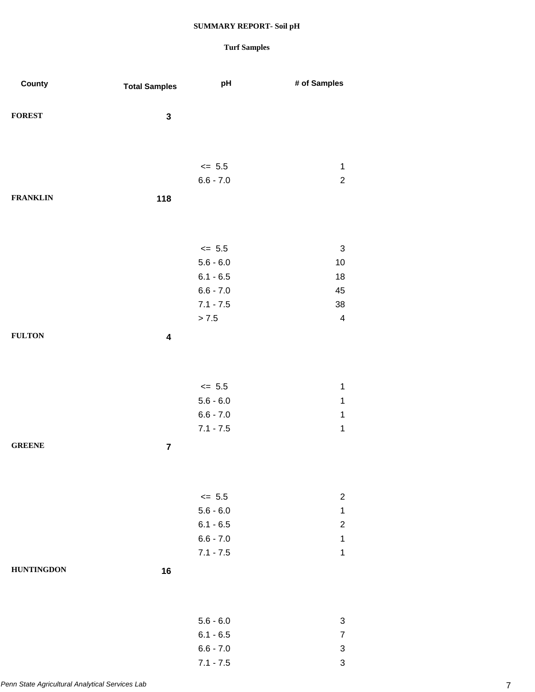| County            | <b>Total Samples</b>    | pH          | # of Samples              |
|-------------------|-------------------------|-------------|---------------------------|
|                   |                         |             |                           |
| <b>FOREST</b>     | ${\bf 3}$               |             |                           |
|                   |                         |             |                           |
|                   |                         |             |                           |
|                   |                         | $<= 5.5$    | $\mathbf 1$               |
|                   |                         | $6.6 - 7.0$ | $\overline{2}$            |
| <b>FRANKLIN</b>   | 118                     |             |                           |
|                   |                         |             |                           |
|                   |                         |             |                           |
|                   |                         | $\leq$ 5.5  | $\ensuremath{\mathsf{3}}$ |
|                   |                         | $5.6 - 6.0$ | 10                        |
|                   |                         | $6.1 - 6.5$ | 18                        |
|                   |                         | $6.6 - 7.0$ | 45                        |
|                   |                         | $7.1 - 7.5$ | 38                        |
|                   |                         | > 7.5       | $\overline{\mathbf{4}}$   |
| <b>FULTON</b>     | $\overline{\mathbf{4}}$ |             |                           |
|                   |                         |             |                           |
|                   |                         |             |                           |
|                   |                         | $\leq$ 5.5  | $\mathbf 1$               |
|                   |                         | $5.6 - 6.0$ | $\mathbf 1$               |
|                   |                         | $6.6 - 7.0$ | $\mathbf 1$               |
|                   |                         | $7.1 - 7.5$ | $\mathbf 1$               |
| <b>GREENE</b>     | $\overline{7}$          |             |                           |
|                   |                         |             |                           |
|                   |                         |             |                           |
|                   |                         | $\le$ 5.5   | $\overline{c}$            |
|                   |                         | $5.6 - 6.0$ | $\mathbf{1}$              |
|                   |                         | $6.1 - 6.5$ | $\overline{c}$            |
|                   |                         | $6.6 - 7.0$ | $\mathbf 1$               |
|                   |                         | $7.1 - 7.5$ | $\mathbf 1$               |
| <b>HUNTINGDON</b> | 16                      |             |                           |
|                   |                         |             |                           |
|                   |                         |             |                           |
|                   |                         | $5.6 - 6.0$ | 3                         |
|                   |                         | $6.1 - 6.5$ | $\overline{7}$            |
|                   |                         | $6.6 - 7.0$ | $\ensuremath{\mathsf{3}}$ |
|                   |                         | $7.1 - 7.5$ | 3                         |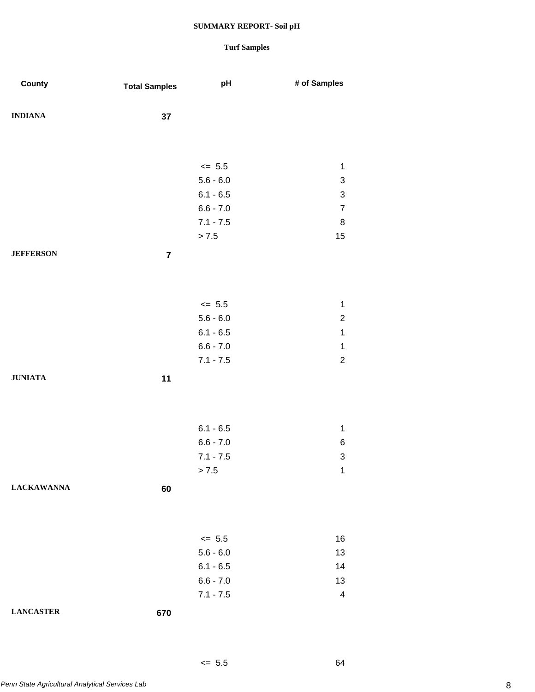## **Turf Samples**

 $\leq$  5.5 64

| County            | <b>Total Samples</b> | pH                   | # of Samples              |
|-------------------|----------------------|----------------------|---------------------------|
| <b>INDIANA</b>    | 37                   |                      |                           |
|                   |                      |                      |                           |
|                   |                      | $\le$ 5.5            | $\mathbf 1$               |
|                   |                      | $5.6 - 6.0$          | $\ensuremath{\mathsf{3}}$ |
|                   |                      | $6.1 - 6.5$          | $\ensuremath{\mathsf{3}}$ |
|                   |                      | $6.6 - 7.0$          | $\overline{7}$            |
|                   |                      | $7.1 - 7.5$<br>> 7.5 | $\, 8$<br>15              |
|                   |                      |                      |                           |
| <b>JEFFERSON</b>  | $\overline{7}$       |                      |                           |
|                   |                      |                      |                           |
|                   |                      | $\le$ 5.5            | $\mathbf 1$               |
|                   |                      | $5.6 - 6.0$          | $\overline{\mathbf{c}}$   |
|                   |                      | $6.1 - 6.5$          | $\mathbf 1$               |
|                   |                      | $6.6 - 7.0$          | $\mathbf 1$               |
|                   |                      | $7.1 - 7.5$          | $\mathbf 2$               |
| <b>JUNIATA</b>    | 11                   |                      |                           |
|                   |                      |                      |                           |
|                   |                      | $6.1 - 6.5$          | 1                         |
|                   |                      | $6.6 - 7.0$          | $\,6$                     |
|                   |                      | $7.1 - 7.5$          | $\ensuremath{\mathsf{3}}$ |
|                   |                      | > 7.5                | 1                         |
| <b>LACKAWANNA</b> | 60                   |                      |                           |
|                   |                      |                      |                           |
|                   |                      | $\leq$ 5.5           | 16                        |
|                   |                      | $5.6 - 6.0$          | 13                        |
|                   |                      | $6.1 - 6.5$          | 14                        |
|                   |                      | $6.6 - 7.0$          | 13                        |
|                   |                      | $7.1 - 7.5$          | $\overline{\mathbf{4}}$   |
| <b>LANCASTER</b>  | 670                  |                      |                           |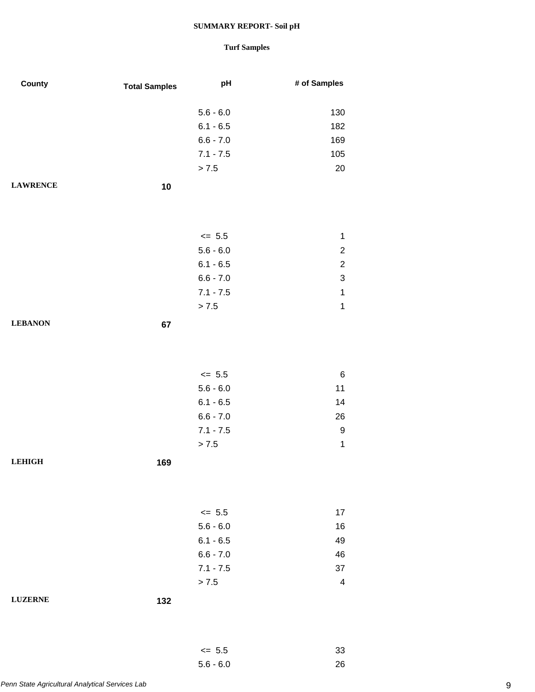## **Turf Samples**

5.6 - 6.0 26

| County          | <b>Total Samples</b> | pH          | # of Samples   |
|-----------------|----------------------|-------------|----------------|
|                 |                      |             |                |
|                 |                      | $5.6 - 6.0$ | 130            |
|                 |                      | $6.1 - 6.5$ | 182            |
|                 |                      | $6.6 - 7.0$ | 169            |
|                 |                      | $7.1 - 7.5$ | 105            |
|                 |                      | > 7.5       | 20             |
| <b>LAWRENCE</b> | 10                   |             |                |
|                 |                      |             |                |
|                 |                      |             |                |
|                 |                      | $\leq$ 5.5  | $\mathbf{1}$   |
|                 |                      | $5.6 - 6.0$ | $\overline{c}$ |
|                 |                      | $6.1 - 6.5$ | $\overline{c}$ |
|                 |                      | $6.6 - 7.0$ | 3              |
|                 |                      | $7.1 - 7.5$ | $\mathbf{1}$   |
|                 |                      | > 7.5       | $\mathbf 1$    |
| <b>LEBANON</b>  |                      |             |                |
|                 | 67                   |             |                |
|                 |                      |             |                |
|                 |                      |             |                |
|                 |                      | $\le$ 5.5   | $\,6$          |
|                 |                      | $5.6 - 6.0$ | 11             |
|                 |                      | $6.1 - 6.5$ | 14             |
|                 |                      | $6.6 - 7.0$ | 26             |
|                 |                      | $7.1 - 7.5$ | 9              |
|                 |                      | > 7.5       | $\mathbf{1}$   |
| <b>LEHIGH</b>   | 169                  |             |                |
|                 |                      |             |                |
|                 |                      |             |                |
|                 |                      | $\leq$ 5.5  | 17             |
|                 |                      | $5.6 - 6.0$ | 16             |
|                 |                      | $6.1 - 6.5$ | 49             |
|                 |                      | $6.6 - 7.0$ | 46             |
|                 |                      | $7.1 - 7.5$ | 37             |
|                 |                      | > 7.5       | 4              |
| <b>LUZERNE</b>  | 132                  |             |                |
|                 |                      |             |                |
|                 |                      |             |                |
|                 |                      | $\leq 5.5$  | 33             |
|                 |                      |             |                |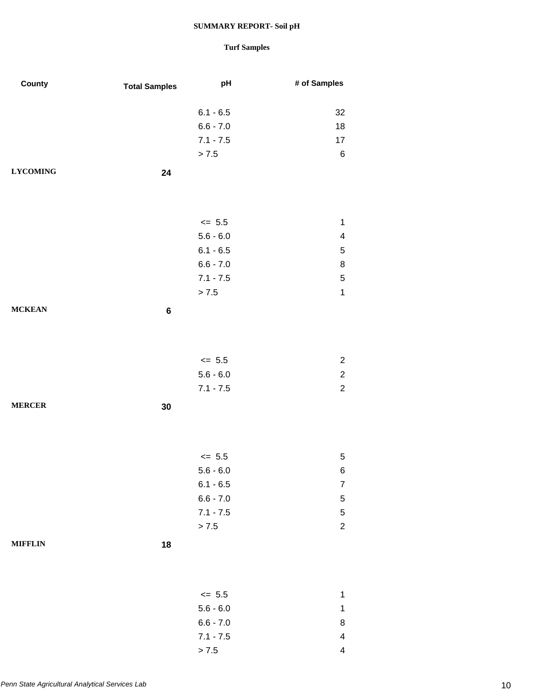| County          | <b>Total Samples</b> | pH          | # of Samples            |
|-----------------|----------------------|-------------|-------------------------|
|                 |                      |             |                         |
|                 |                      | $6.1 - 6.5$ | 32                      |
|                 |                      | $6.6 - 7.0$ | 18                      |
|                 |                      | $7.1 - 7.5$ | 17                      |
|                 |                      | $> 7.5$     | $\,6$                   |
| <b>LYCOMING</b> | 24                   |             |                         |
|                 |                      |             |                         |
|                 |                      |             |                         |
|                 |                      | $\le$ 5.5   | $\mathbf{1}$            |
|                 |                      | $5.6 - 6.0$ | 4                       |
|                 |                      | $6.1 - 6.5$ | 5                       |
|                 |                      | $6.6 - 7.0$ | 8                       |
|                 |                      | $7.1 - 7.5$ | 5                       |
|                 |                      | $> 7.5$     | $\mathbf{1}$            |
| <b>MCKEAN</b>   | 6                    |             |                         |
|                 |                      |             |                         |
|                 |                      |             |                         |
|                 |                      |             |                         |
|                 |                      | $\le$ 5.5   | $\overline{c}$          |
|                 |                      | $5.6 - 6.0$ | $\overline{\mathbf{c}}$ |
|                 |                      | $7.1 - 7.5$ | $\overline{2}$          |
| <b>MERCER</b>   | 30                   |             |                         |
|                 |                      |             |                         |
|                 |                      |             |                         |
|                 |                      | $\le$ 5.5   | 5                       |
|                 |                      | $5.6 - 6.0$ | 6                       |
|                 |                      | $6.1 - 6.5$ | $\overline{7}$          |
|                 |                      | $6.6 - 7.0$ | 5                       |
|                 |                      | $7.1 - 7.5$ | $\sqrt{5}$              |
|                 |                      | > 7.5       | $\overline{\mathbf{c}}$ |
| <b>MIFFLIN</b>  | 18                   |             |                         |
|                 |                      |             |                         |
|                 |                      |             |                         |
|                 |                      |             |                         |
|                 |                      | $\leq$ 5.5  | $\mathbf{1}$            |
|                 |                      | $5.6 - 6.0$ | $\mathbf 1$             |
|                 |                      | $6.6 - 7.0$ | 8                       |
|                 |                      | $7.1 - 7.5$ | 4                       |
|                 |                      | > 7.5       | $\overline{\mathbf{4}}$ |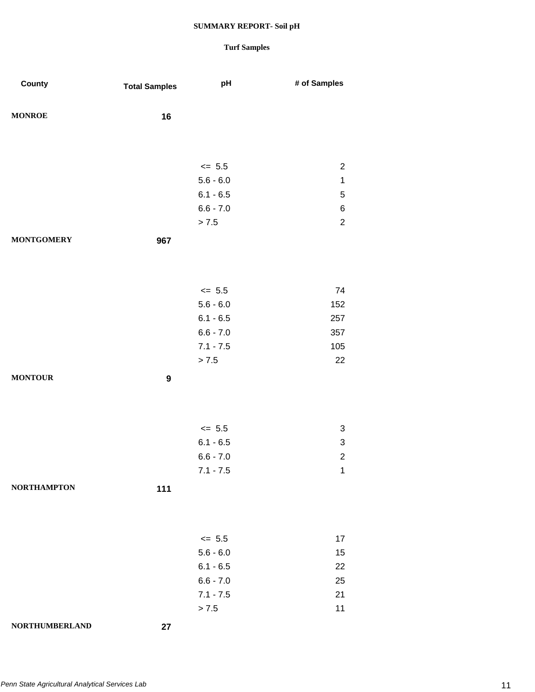| County                | <b>Total Samples</b> | pH          | # of Samples   |
|-----------------------|----------------------|-------------|----------------|
| <b>MONROE</b>         | 16                   |             |                |
|                       |                      |             |                |
|                       |                      | $\leq$ 5.5  | $\overline{2}$ |
|                       |                      | $5.6 - 6.0$ | $\mathbf 1$    |
|                       |                      | $6.1 - 6.5$ | 5              |
|                       |                      | $6.6 - 7.0$ | $\,6$          |
|                       |                      | > 7.5       | $\overline{2}$ |
| <b>MONTGOMERY</b>     | 967                  |             |                |
|                       |                      |             |                |
|                       |                      | $\leq$ 5.5  | 74             |
|                       |                      | $5.6 - 6.0$ | 152            |
|                       |                      | $6.1 - 6.5$ | 257            |
|                       |                      | $6.6 - 7.0$ | 357            |
|                       |                      | $7.1 - 7.5$ | 105            |
|                       |                      | > 7.5       | 22             |
| <b>MONTOUR</b>        | $\boldsymbol{9}$     |             |                |
|                       |                      |             |                |
|                       |                      | $\leq$ 5.5  | 3              |
|                       |                      | $6.1 - 6.5$ | 3              |
|                       |                      | $6.6 - 7.0$ | $\overline{c}$ |
|                       |                      | $7.1 - 7.5$ | 1              |
| <b>NORTHAMPTON</b>    | 111                  |             |                |
|                       |                      |             |                |
|                       |                      | $\leq$ 5.5  | 17             |
|                       |                      | $5.6 - 6.0$ | 15             |
|                       |                      | $6.1 - 6.5$ | 22             |
|                       |                      | $6.6 - 7.0$ | 25             |
|                       |                      | $7.1 - 7.5$ | 21             |
|                       |                      | > 7.5       | 11             |
| <b>NORTHUMBERLAND</b> | 27                   |             |                |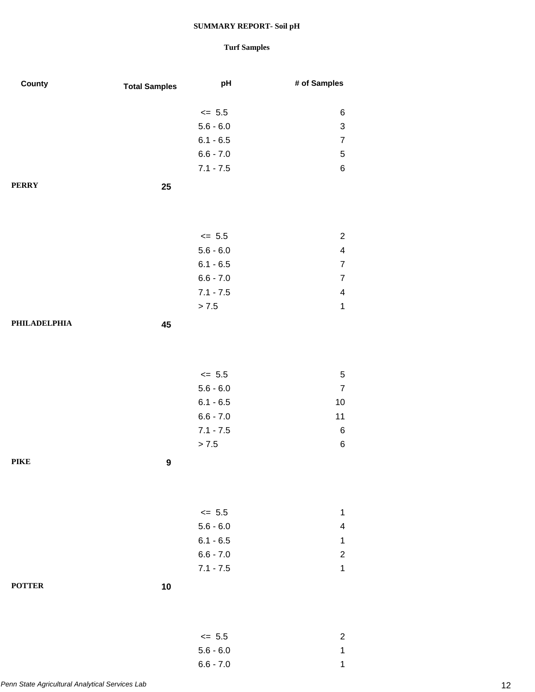| County        | <b>Total Samples</b> | pH          | # of Samples            |
|---------------|----------------------|-------------|-------------------------|
|               |                      | $\leq$ 5.5  | 6                       |
|               |                      | $5.6 - 6.0$ | 3                       |
|               |                      | $6.1 - 6.5$ | $\boldsymbol{7}$        |
|               |                      | $6.6 - 7.0$ | 5                       |
|               |                      | $7.1 - 7.5$ | 6                       |
| <b>PERRY</b>  | 25                   |             |                         |
|               |                      |             |                         |
|               |                      |             |                         |
|               |                      | $\leq$ 5.5  | $\overline{c}$          |
|               |                      | $5.6 - 6.0$ | 4                       |
|               |                      | $6.1 - 6.5$ | $\overline{7}$          |
|               |                      | $6.6 - 7.0$ | $\overline{7}$          |
|               |                      | $7.1 - 7.5$ | 4                       |
|               |                      | > 7.5       | $\mathbf 1$             |
| PHILADELPHIA  | 45                   |             |                         |
|               |                      |             |                         |
|               |                      |             |                         |
|               |                      | $\leq$ 5.5  | $\,$ 5 $\,$             |
|               |                      | $5.6 - 6.0$ | $\overline{7}$          |
|               |                      | $6.1 - 6.5$ | 10                      |
|               |                      | $6.6 - 7.0$ | 11                      |
|               |                      | $7.1 - 7.5$ | 6                       |
|               |                      | > 7.5       | $\,6$                   |
| <b>PIKE</b>   | $\boldsymbol{9}$     |             |                         |
|               |                      |             |                         |
|               |                      | $\leq$ 5.5  | $\mathbf{1}$            |
|               |                      | $5.6 - 6.0$ | $\overline{\mathbf{4}}$ |
|               |                      | $6.1 - 6.5$ | 1                       |
|               |                      | $6.6 - 7.0$ | $\overline{\mathbf{c}}$ |
|               |                      | $7.1 - 7.5$ | $\mathbf 1$             |
| <b>POTTER</b> | 10                   |             |                         |
|               |                      |             |                         |
|               |                      | $\leq$ 5.5  | $\overline{c}$          |
|               |                      | $5.6 - 6.0$ | $\mathbf 1$             |
|               |                      | $6.6 - 7.0$ | $\mathbf{1}$            |
|               |                      |             |                         |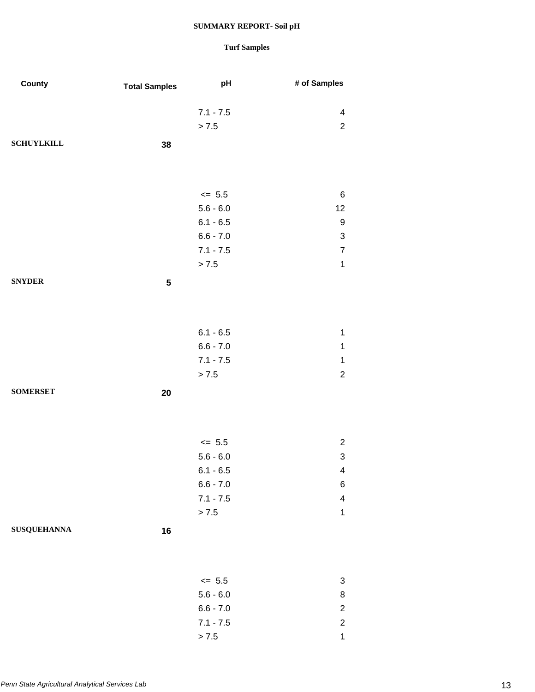| County             | <b>Total Samples</b> | pH          | # of Samples            |
|--------------------|----------------------|-------------|-------------------------|
|                    |                      | $7.1 - 7.5$ | $\overline{\mathbf{4}}$ |
|                    |                      | > 7.5       | $\overline{c}$          |
| <b>SCHUYLKILL</b>  | 38                   |             |                         |
|                    |                      |             |                         |
|                    |                      |             |                         |
|                    |                      | $\leq$ 5.5  | 6                       |
|                    |                      | $5.6 - 6.0$ | 12                      |
|                    |                      | $6.1 - 6.5$ | $\boldsymbol{9}$        |
|                    |                      | $6.6 - 7.0$ | 3                       |
|                    |                      | $7.1 - 7.5$ | $\overline{7}$          |
|                    |                      | > 7.5       | $\mathbf{1}$            |
| <b>SNYDER</b>      | ${\bf 5}$            |             |                         |
|                    |                      |             |                         |
|                    |                      | $6.1 - 6.5$ | $\mathbf{1}$            |
|                    |                      | $6.6 - 7.0$ | $\mathbf{1}$            |
|                    |                      | $7.1 - 7.5$ | $\mathbf{1}$            |
|                    |                      | > 7.5       | $\overline{c}$          |
| <b>SOMERSET</b>    | 20                   |             |                         |
|                    |                      |             |                         |
|                    |                      | $\leq$ 5.5  | $\overline{c}$          |
|                    |                      | $5.6 - 6.0$ | 3                       |
|                    |                      | $6.1 - 6.5$ | $\overline{4}$          |
|                    |                      | $6.6 - 7.0$ | 6                       |
|                    |                      | $7.1 - 7.5$ | $\overline{\mathbf{4}}$ |
|                    |                      | > 7.5       | $\mathbf{1}$            |
| <b>SUSQUEHANNA</b> | 16                   |             |                         |
|                    |                      |             |                         |
|                    |                      | $\leq$ 5.5  | $\sqrt{3}$              |
|                    |                      | $5.6 - 6.0$ | 8                       |
|                    |                      | $6.6 - 7.0$ | $\overline{\mathbf{c}}$ |
|                    |                      | $7.1 - 7.5$ | $\overline{c}$          |
|                    |                      | > 7.5       | $\mathbf{1}$            |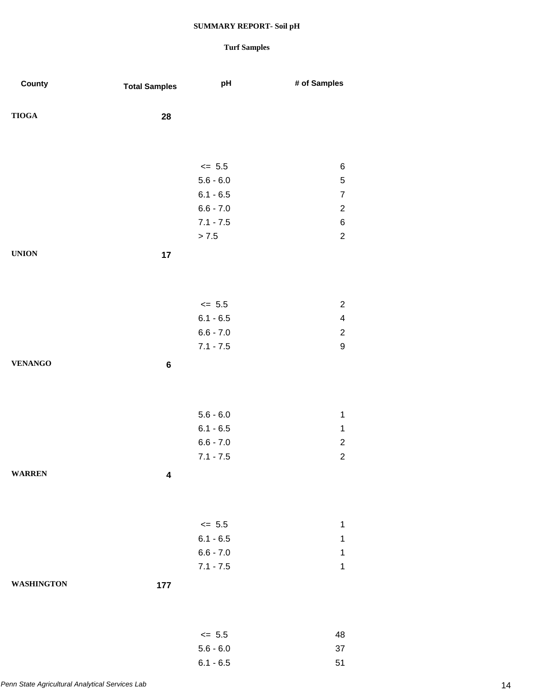## **Turf Samples**

6.1 - 6.5 51

| County            | <b>Total Samples</b> | pH                         | # of Samples                 |
|-------------------|----------------------|----------------------------|------------------------------|
|                   |                      |                            |                              |
| <b>TIOGA</b>      | 28                   |                            |                              |
|                   |                      |                            |                              |
|                   |                      |                            |                              |
|                   |                      | $\le$ 5.5                  | $\,6$                        |
|                   |                      | $5.6 - 6.0$                | $\mathbf 5$                  |
|                   |                      | $6.1 - 6.5$<br>$6.6 - 7.0$ | $\overline{7}$<br>$\sqrt{2}$ |
|                   |                      | $7.1 - 7.5$                | $\,6$                        |
|                   |                      | $> 7.5$                    | $\sqrt{2}$                   |
| <b>UNION</b>      |                      |                            |                              |
|                   | 17                   |                            |                              |
|                   |                      |                            |                              |
|                   |                      |                            |                              |
|                   |                      | $\leq$ 5.5                 | $\overline{c}$               |
|                   |                      | $6.1 - 6.5$                | $\overline{\mathbf{4}}$      |
|                   |                      | $6.6 - 7.0$                | $\sqrt{2}$                   |
|                   |                      | $7.1 - 7.5$                | $\boldsymbol{9}$             |
| <b>VENANGO</b>    | $\bf 6$              |                            |                              |
|                   |                      |                            |                              |
|                   |                      |                            |                              |
|                   |                      | $5.6 - 6.0$                | $\mathbf 1$                  |
|                   |                      | $6.1 - 6.5$                | $\mathbf 1$                  |
|                   |                      | $6.6 - 7.0$                | $\sqrt{2}$                   |
|                   |                      | $7.1 - 7.5$                | $\sqrt{2}$                   |
| <b>WARREN</b>     | 4                    |                            |                              |
|                   |                      |                            |                              |
|                   |                      |                            |                              |
|                   |                      | $\leq$ 5.5                 | 1                            |
|                   |                      | $6.1 - 6.5$                | $\mathbf 1$                  |
|                   |                      | $6.6 - 7.0$                | 1                            |
|                   |                      | $7.1 - 7.5$                | $\mathbf 1$                  |
| <b>WASHINGTON</b> | 177                  |                            |                              |
|                   |                      |                            |                              |
|                   |                      |                            |                              |
|                   |                      | $\leq$ 5.5                 | 48                           |
|                   |                      | $5.6 - 6.0$                | 37                           |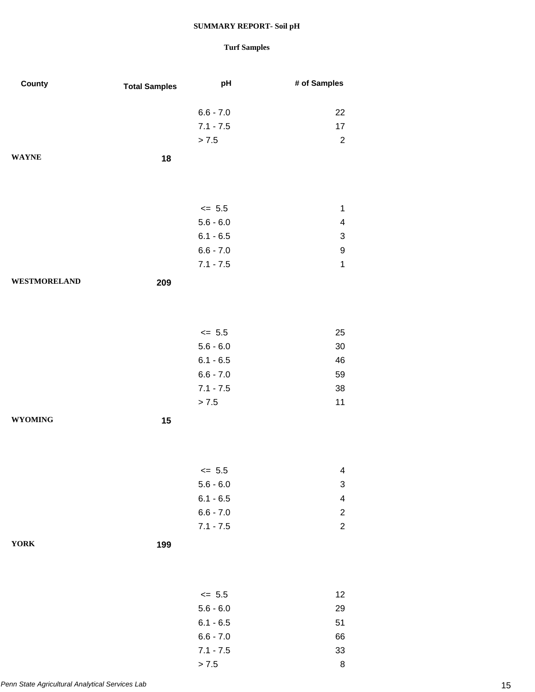| County              | <b>Total Samples</b> | pH          | # of Samples            |
|---------------------|----------------------|-------------|-------------------------|
|                     |                      | $6.6 - 7.0$ | 22                      |
|                     |                      | $7.1 - 7.5$ | 17                      |
|                     |                      | > 7.5       | $\overline{c}$          |
| <b>WAYNE</b>        | 18                   |             |                         |
|                     |                      |             |                         |
|                     |                      | $\leq$ 5.5  | $\mathbf{1}$            |
|                     |                      | $5.6 - 6.0$ | 4                       |
|                     |                      | $6.1 - 6.5$ | 3                       |
|                     |                      | $6.6 - 7.0$ | 9                       |
|                     |                      | $7.1 - 7.5$ | $\mathbf{1}$            |
| <b>WESTMORELAND</b> | 209                  |             |                         |
|                     |                      |             |                         |
|                     |                      | $\leq$ 5.5  | 25                      |
|                     |                      | $5.6 - 6.0$ | 30                      |
|                     |                      | $6.1 - 6.5$ | 46                      |
|                     |                      | $6.6 - 7.0$ | 59                      |
|                     |                      | $7.1 - 7.5$ | 38                      |
|                     |                      | > 7.5       | 11                      |
| <b>WYOMING</b>      | 15                   |             |                         |
|                     |                      |             |                         |
|                     |                      | $\leq$ 5.5  | 4                       |
|                     |                      | $5.6 - 6.0$ | 3                       |
|                     |                      | $6.1 - 6.5$ | $\overline{\mathbf{4}}$ |
|                     |                      | $6.6 - 7.0$ | $\overline{\mathbf{c}}$ |
|                     |                      | $7.1 - 7.5$ | $\overline{c}$          |
| <b>YORK</b>         | 199                  |             |                         |
|                     |                      |             |                         |
|                     |                      | $\leq$ 5.5  | 12                      |
|                     |                      | $5.6 - 6.0$ | 29                      |
|                     |                      | $6.1 - 6.5$ | 51                      |
|                     |                      | $6.6 - 7.0$ | 66                      |
|                     |                      | $7.1 - 7.5$ | 33                      |
|                     |                      | > 7.5       | $\bf 8$                 |